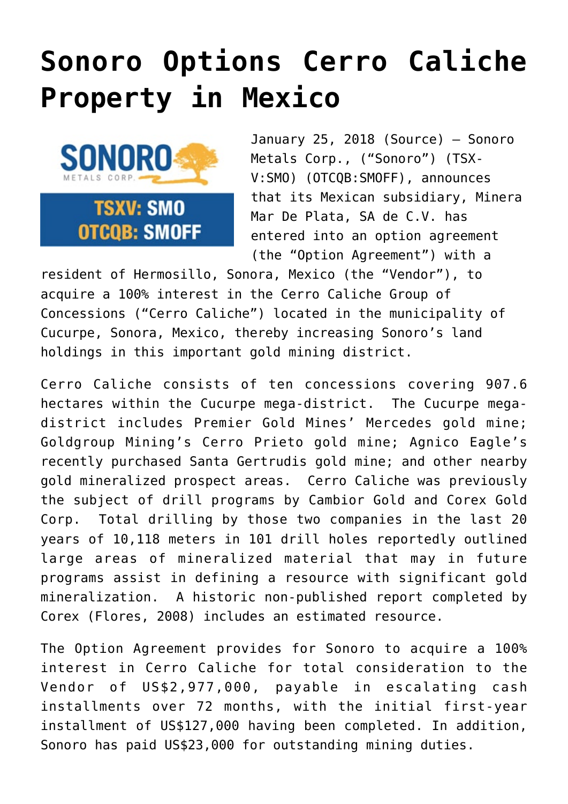## **[Sonoro Options Cerro Caliche](https://investorintel.com/markets/gold-silver-base-metals/gold-precious-metals-news/sonoro-options-cerro-caliche-property-mexico/) [Property in Mexico](https://investorintel.com/markets/gold-silver-base-metals/gold-precious-metals-news/sonoro-options-cerro-caliche-property-mexico/)**



January 25, 2018 [\(Source](https://investorintel.com/iintel-members/sonoro-metals-corp-2/)) — Sonoro Metals Corp., ("Sonoro") (TSX-V[:SMO\)](http://www.globenewswire.com/News/Listing?symbol=SMO&exchange=15) (OTCQB:SMOFF), announces that its Mexican subsidiary, Minera Mar De Plata, SA de C.V. has entered into an option agreement (the "Option Agreement") with a

resident of Hermosillo, Sonora, Mexico (the "Vendor"), to acquire a 100% interest in the Cerro Caliche Group of Concessions ("Cerro Caliche") located in the municipality of Cucurpe, Sonora, Mexico, thereby increasing Sonoro's land holdings in this important gold mining district.

Cerro Caliche consists of ten concessions covering 907.6 hectares within the Cucurpe mega-district. The Cucurpe megadistrict includes Premier Gold Mines' Mercedes gold mine; Goldgroup Mining's Cerro Prieto gold mine; Agnico Eagle's recently purchased Santa Gertrudis gold mine; and other nearby gold mineralized prospect areas. Cerro Caliche was previously the subject of drill programs by Cambior Gold and Corex Gold Corp. Total drilling by those two companies in the last 20 years of 10,118 meters in 101 drill holes reportedly outlined large areas of mineralized material that may in future programs assist in defining a resource with significant gold mineralization. A historic non-published report completed by Corex (Flores, 2008) includes an estimated resource.

The Option Agreement provides for Sonoro to acquire a 100% interest in Cerro Caliche for total consideration to the Vendor of US\$2,977,000, payable in escalating cash installments over 72 months, with the initial first-year installment of US\$127,000 having been completed. In addition, Sonoro has paid US\$23,000 for outstanding mining duties.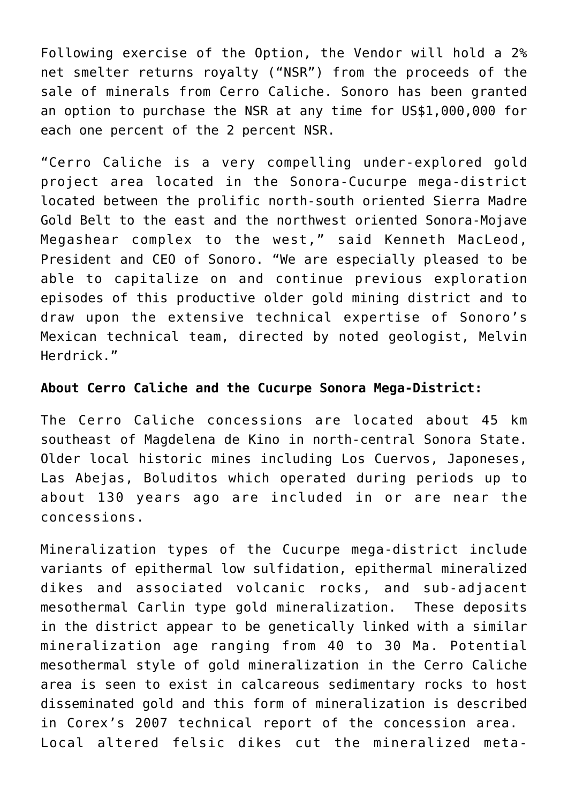Following exercise of the Option, the Vendor will hold a 2% net smelter returns royalty ("NSR") from the proceeds of the sale of minerals from Cerro Caliche. Sonoro has been granted an option to purchase the NSR at any time for US\$1,000,000 for each one percent of the 2 percent NSR.

"Cerro Caliche is a very compelling under-explored gold project area located in the Sonora-Cucurpe mega-district located between the prolific north-south oriented Sierra Madre Gold Belt to the east and the northwest oriented Sonora-Mojave Megashear complex to the west," said Kenneth MacLeod, President and CEO of Sonoro. "We are especially pleased to be able to capitalize on and continue previous exploration episodes of this productive older gold mining district and to draw upon the extensive technical expertise of Sonoro's Mexican technical team, directed by noted geologist, Melvin Herdrick."

## **About Cerro Caliche and the Cucurpe Sonora Mega-District:**

The Cerro Caliche concessions are located about 45 km southeast of Magdelena de Kino in north-central Sonora State. Older local historic mines including Los Cuervos, Japoneses, Las Abejas, Boluditos which operated during periods up to about 130 years ago are included in or are near the concessions.

Mineralization types of the Cucurpe mega-district include variants of epithermal low sulfidation, epithermal mineralized dikes and associated volcanic rocks, and sub-adjacent mesothermal Carlin type gold mineralization. These deposits in the district appear to be genetically linked with a similar mineralization age ranging from 40 to 30 Ma. Potential mesothermal style of gold mineralization in the Cerro Caliche area is seen to exist in calcareous sedimentary rocks to host disseminated gold and this form of mineralization is described in Corex's 2007 technical report of the concession area. Local altered felsic dikes cut the mineralized meta-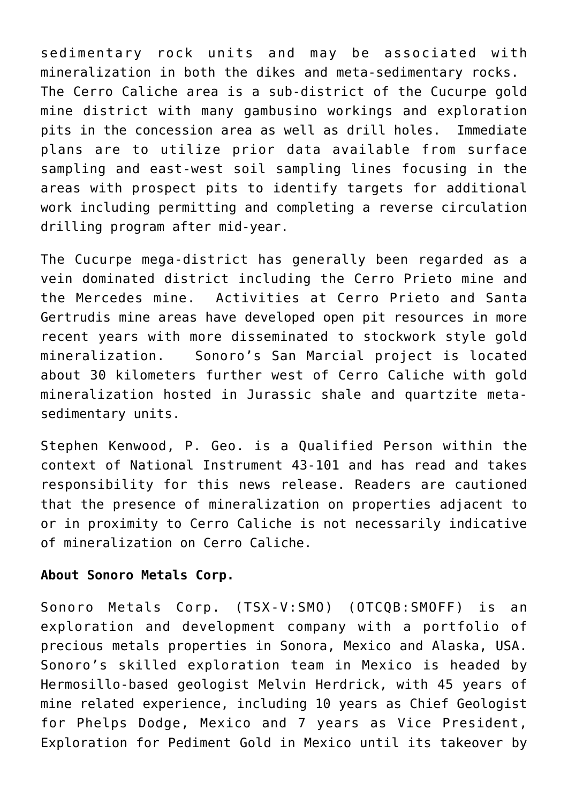sedimentary rock units and may be associated with mineralization in both the dikes and meta-sedimentary rocks. The Cerro Caliche area is a sub-district of the Cucurpe gold mine district with many gambusino workings and exploration pits in the concession area as well as drill holes. Immediate plans are to utilize prior data available from surface sampling and east-west soil sampling lines focusing in the areas with prospect pits to identify targets for additional work including permitting and completing a reverse circulation drilling program after mid-year.

The Cucurpe mega-district has generally been regarded as a vein dominated district including the Cerro Prieto mine and the Mercedes mine. Activities at Cerro Prieto and Santa Gertrudis mine areas have developed open pit resources in more recent years with more disseminated to stockwork style gold mineralization. Sonoro's San Marcial project is located about 30 kilometers further west of Cerro Caliche with gold mineralization hosted in Jurassic shale and quartzite metasedimentary units.

Stephen Kenwood, P. Geo. is a Qualified Person within the context of National Instrument 43-101 and has read and takes responsibility for this news release. Readers are cautioned that the presence of mineralization on properties adjacent to or in proximity to Cerro Caliche is not necessarily indicative of mineralization on Cerro Caliche.

## **About Sonoro Metals Corp.**

Sonoro Metals Corp. (TSX-V:[SMO\)](http://www.globenewswire.com/News/Listing?symbol=SMO&exchange=15) (OTCQB:SMOFF) is an exploration and development company with a portfolio of precious metals properties in Sonora, Mexico and Alaska, USA. Sonoro's skilled exploration team in Mexico is headed by Hermosillo-based geologist Melvin Herdrick, with 45 years of mine related experience, including 10 years as Chief Geologist for Phelps Dodge, Mexico and 7 years as Vice President, Exploration for Pediment Gold in Mexico until its takeover by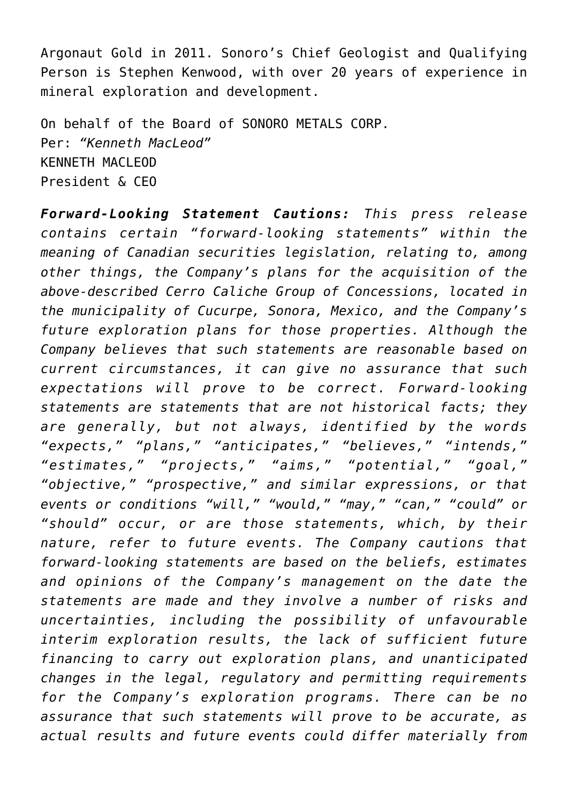Argonaut Gold in 2011. Sonoro's Chief Geologist and Qualifying Person is Stephen Kenwood, with over 20 years of experience in mineral exploration and development.

On behalf of the Board of SONORO METALS CORP. Per: *"Kenneth MacLeod"* KENNETH MACLEOD President & CEO

*Forward-Looking Statement Cautions: This press release contains certain "forward-looking statements" within the meaning of Canadian securities legislation, relating to, among other things, the Company's plans for the acquisition of the above-described Cerro Caliche Group of Concessions, located in the municipality of Cucurpe, Sonora, Mexico, and the Company's future exploration plans for those properties. Although the Company believes that such statements are reasonable based on current circumstances, it can give no assurance that such expectations will prove to be correct. Forward-looking statements are statements that are not historical facts; they are generally, but not always, identified by the words "expects," "plans," "anticipates," "believes," "intends," "estimates," "projects," "aims," "potential," "goal," "objective," "prospective," and similar expressions, or that events or conditions "will," "would," "may," "can," "could" or "should" occur, or are those statements, which, by their nature, refer to future events. The Company cautions that forward-looking statements are based on the beliefs, estimates and opinions of the Company's management on the date the statements are made and they involve a number of risks and uncertainties, including the possibility of unfavourable interim exploration results, the lack of sufficient future financing to carry out exploration plans, and unanticipated changes in the legal, regulatory and permitting requirements for the Company's exploration programs. There can be no assurance that such statements will prove to be accurate, as actual results and future events could differ materially from*